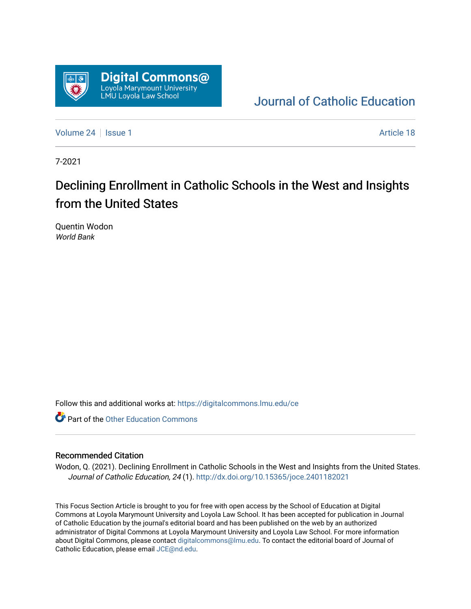

## [Journal of Catholic Education](https://digitalcommons.lmu.edu/ce)

[Volume 24](https://digitalcommons.lmu.edu/ce/vol24) | [Issue 1](https://digitalcommons.lmu.edu/ce/vol24/iss1) Article 18

7-2021

## Declining Enrollment in Catholic Schools in the West and Insights from the United States

Quentin Wodon World Bank

Follow this and additional works at: [https://digitalcommons.lmu.edu/ce](https://digitalcommons.lmu.edu/ce?utm_source=digitalcommons.lmu.edu%2Fce%2Fvol24%2Fiss1%2F18&utm_medium=PDF&utm_campaign=PDFCoverPages)

**Part of the Other Education Commons** 

## Recommended Citation

Wodon, Q. (2021). Declining Enrollment in Catholic Schools in the West and Insights from the United States. Journal of Catholic Education, 24 (1).<http://dx.doi.org/10.15365/joce.2401182021>

This Focus Section Article is brought to you for free with open access by the School of Education at Digital Commons at Loyola Marymount University and Loyola Law School. It has been accepted for publication in Journal of Catholic Education by the journal's editorial board and has been published on the web by an authorized administrator of Digital Commons at Loyola Marymount University and Loyola Law School. For more information about Digital Commons, please contact [digitalcommons@lmu.edu](mailto:digitalcommons@lmu.edu). To contact the editorial board of Journal of Catholic Education, please email [JCE@nd.edu.](mailto:JCE@nd.edu)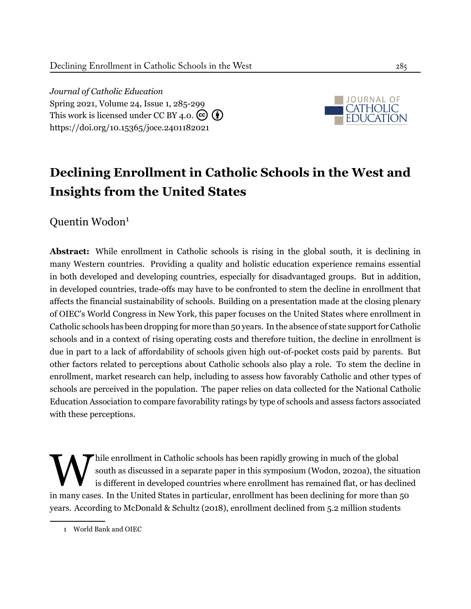*Journal of Catholic Education* Spring 2021, Volume 24, Issue 1, 285-[299](#page-15-0) This work is licensed under CC BY 4.0.  $\left(\overline{\mathbf{c}}\right)\left(\overline{\mathbf{f}}\right)$ <https://doi.org/10.15365/joce.2401182021>



# **Declining Enrollment in Catholic Schools in the West and Insights from the United States**

Quentin Wodon<sup>1</sup>

**Abstract:** While enrollment in Catholic schools is rising in the global south, it is declining in many Western countries. Providing a quality and holistic education experience remains essential in both developed and developing countries, especially for disadvantaged groups. But in addition, in developed countries, trade-offs may have to be confronted to stem the decline in enrollment that affects the financial sustainability of schools. Building on a presentation made at the closing plenary of OIEC's World Congress in New York, this paper focuses on the United States where enrollment in Catholic schools has been dropping for more than 50 years. In the absence of state support for Catholic schools and in a context of rising operating costs and therefore tuition, the decline in enrollment is due in part to a lack of affordability of schools given high out-of-pocket costs paid by parents. But other factors related to perceptions about Catholic schools also play a role. To stem the decline in enrollment, market research can help, including to assess how favorably Catholic and other types of schools are perceived in the population. The paper relies on data collected for the National Catholic Education Association to compare favorability ratings by type of schools and assess factors associated with these perceptions.

while enrollment in Catholic schools has been rapidly growing in much of the global south as discussed in a separate paper in this symposium (Wodon, 2020a), the situat is different in developed countries where enrollment h hile enrollment in Catholic schools has been rapidly growing in much of the global south as discussed in a separate paper in this symposium ([Wodon,](#page-15-1) [2020a](#page-15-1)), the situation is different in developed countries where enrollment has remained flat, or has declined years. According to [McDonald & Schultz](#page-15-2) [\(2018](#page-15-2)), enrollment declined from 5.2 million students

<sup>1</sup> World Bank and OIEC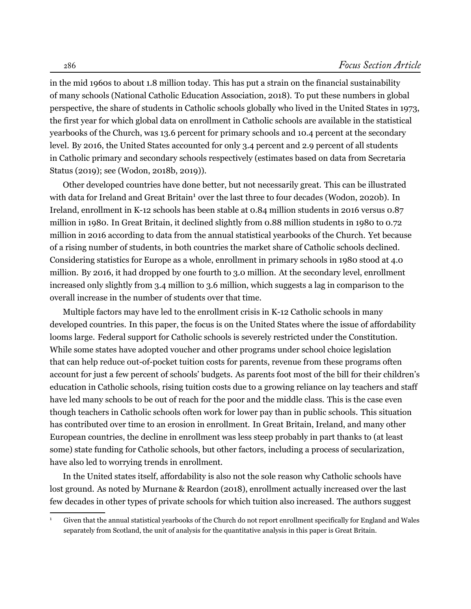in the mid 1960s to about 1.8 million today. This has put a strain on the financial sustainability of many schools ([National Catholic Education Association](#page-15-3), [2018\)](#page-15-3). To put these numbers in global perspective, the share of students in Catholic schools globally who lived in the United States in 1973, the first year for which global data on enrollment in Catholic schools are available in the statistical yearbooks of the Church, was 13.6 percent for primary schools and 10.4 percent at the secondary level. By 2016, the United States accounted for only 3.4 percent and 2.9 percent of all students in Catholic primary and secondary schools respectively (estimates based on data from [Secretaria](#page-15-4) [Status](#page-15-4) ([2019](#page-15-4)); see [\(Wodon,](#page-15-5) [2018b](#page-15-5), [2019](#page-15-6))).

Other developed countries have done better, but not necessarily great. This can be illustrated with data for Ireland and Great Britain<sup>1</sup> over the last three to four decades ([Wodon,](#page-15-7) [2020b](#page-15-7)). In Ireland, enrollment in K-12 schools has been stable at 0.84 million students in 2016 versus 0.87 million in 1980. In Great Britain, it declined slightly from 0.88 million students in 1980 to 0.72 million in 2016 according to data from the annual statistical yearbooks of the Church. Yet because of a rising number of students, in both countries the market share of Catholic schools declined. Considering statistics for Europe as a whole, enrollment in primary schools in 1980 stood at 4.0 million. By 2016, it had dropped by one fourth to 3.0 million. At the secondary level, enrollment increased only slightly from 3.4 million to 3.6 million, which suggests a lag in comparison to the overall increase in the number of students over that time.

Multiple factors may have led to the enrollment crisis in K-12 Catholic schools in many developed countries. In this paper, the focus is on the United States where the issue of affordability looms large. Federal support for Catholic schools is severely restricted under the Constitution. While some states have adopted voucher and other programs under school choice legislation that can help reduce out-of-pocket tuition costs for parents, revenue from these programs often account for just a few percent of schools' budgets. As parents foot most of the bill for their children's education in Catholic schools, rising tuition costs due to a growing reliance on lay teachers and staff have led many schools to be out of reach for the poor and the middle class. This is the case even though teachers in Catholic schools often work for lower pay than in public schools. This situation has contributed over time to an erosion in enrollment. In Great Britain, Ireland, and many other European countries, the decline in enrollment was less steep probably in part thanks to (at least some) state funding for Catholic schools, but other factors, including a process of secularization, have also led to worrying trends in enrollment.

In the United states itself, affordability is also not the sole reason why Catholic schools have lost ground. As noted by [Murnane & Reardon](#page-15-8) [\(2018](#page-15-8)), enrollment actually increased over the last few decades in other types of private schools for which tuition also increased. The authors suggest

<sup>1</sup> Given that the annual statistical yearbooks of the Church do not report enrollment specifically for England and Wales separately from Scotland, the unit of analysis for the quantitative analysis in this paper is Great Britain.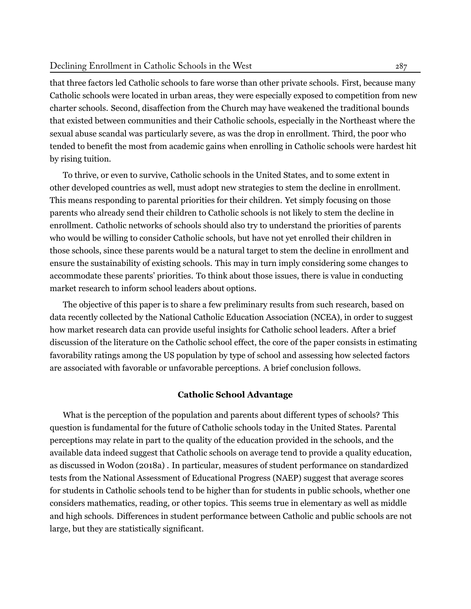#### Declining Enrollment in Catholic Schools in the West 287

that three factors led Catholic schools to fare worse than other private schools. First, because many Catholic schools were located in urban areas, they were especially exposed to competition from new charter schools. Second, disaffection from the Church may have weakened the traditional bounds that existed between communities and their Catholic schools, especially in the Northeast where the sexual abuse scandal was particularly severe, as was the drop in enrollment. Third, the poor who tended to benefit the most from academic gains when enrolling in Catholic schools were hardest hit by rising tuition.

To thrive, or even to survive, Catholic schools in the United States, and to some extent in other developed countries as well, must adopt new strategies to stem the decline in enrollment. This means responding to parental priorities for their children. Yet simply focusing on those parents who already send their children to Catholic schools is not likely to stem the decline in enrollment. Catholic networks of schools should also try to understand the priorities of parents who would be willing to consider Catholic schools, but have not yet enrolled their children in those schools, since these parents would be a natural target to stem the decline in enrollment and ensure the sustainability of existing schools. This may in turn imply considering some changes to accommodate these parents' priorities. To think about those issues, there is value in conducting market research to inform school leaders about options.

The objective of this paper is to share a few preliminary results from such research, based on data recently collected by the National Catholic Education Association (NCEA), in order to suggest how market research data can provide useful insights for Catholic school leaders. After a brief discussion of the literature on the Catholic school effect, the core of the paper consists in estimating favorability ratings among the US population by type of school and assessing how selected factors are associated with favorable or unfavorable perceptions. A brief conclusion follows.

## **Catholic School Advantage**

What is the perception of the population and parents about different types of schools? This question is fundamental for the future of Catholic schools today in the United States. Parental perceptions may relate in part to the quality of the education provided in the schools, and the available data indeed suggest that Catholic schools on average tend to provide a quality education, as discussed in [Wodon](#page-15-9) ([2018a](#page-15-9)) . In particular, measures of student performance on standardized tests from the National Assessment of Educational Progress (NAEP) suggest that average scores for students in Catholic schools tend to be higher than for students in public schools, whether one considers mathematics, reading, or other topics. This seems true in elementary as well as middle and high schools. Differences in student performance between Catholic and public schools are not large, but they are statistically significant.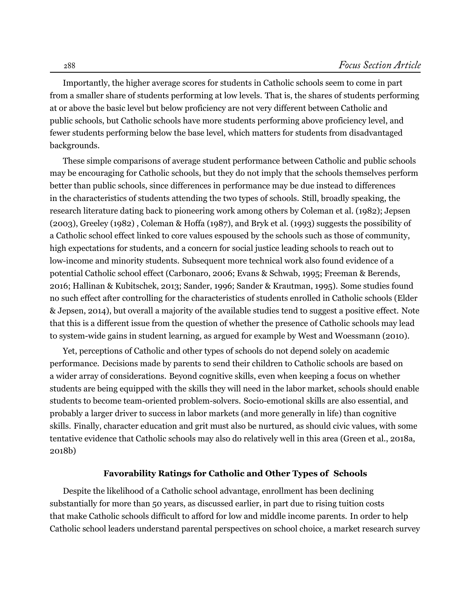Importantly, the higher average scores for students in Catholic schools seem to come in part from a smaller share of students performing at low levels. That is, the shares of students performing at or above the basic level but below proficiency are not very different between Catholic and public schools, but Catholic schools have more students performing above proficiency level, and fewer students performing below the base level, which matters for students from disadvantaged backgrounds.

These simple comparisons of average student performance between Catholic and public schools may be encouraging for Catholic schools, but they do not imply that the schools themselves perform better than public schools, since differences in performance may be due instead to differences in the characteristics of students attending the two types of schools. Still, broadly speaking, the research literature dating back to pioneering work among others by [Coleman et al.](#page-14-0) ([1982\)](#page-14-0); [Jepsen](#page-15-10) ([2003](#page-15-10)), [Greeley](#page-15-11) [\(1982\)](#page-15-11) , [Coleman & Hoffa](#page-14-1) [\(1987](#page-14-1)), and [Bryk et al.](#page-14-2) ([1993\)](#page-14-2) suggests the possibility of a Catholic school effect linked to core values espoused by the schools such as those of community, high expectations for students, and a concern for social justice leading schools to reach out to low-income and minority students. Subsequent more technical work also found evidence of a potential Catholic school effect ([Carbonaro,](#page-14-3) [2006](#page-14-3); [Evans & Schwab](#page-14-4), [1995;](#page-14-4) [Freeman & Berends,](#page-14-5) [2016](#page-14-5); [Hallinan & Kubitschek,](#page-15-12) [2013;](#page-15-12) [Sander,](#page-15-13) [1996;](#page-15-13) [Sander & Krautman,](#page-15-14) [1995](#page-15-14)). Some studies found no such effect after controlling for the characteristics of students enrolled in Catholic schools ([Elder](#page-14-6) [& Jepsen,](#page-14-6) [2014\)](#page-14-6), but overall a majority of the available studies tend to suggest a positive effect. Note that this is a different issue from the question of whether the presence of Catholic schools may lead to system-wide gains in student learning, as argued for example by West and Woessmann (2010).

Yet, perceptions of Catholic and other types of schools do not depend solely on academic performance. Decisions made by parents to send their children to Catholic schools are based on a wider array of considerations. Beyond cognitive skills, even when keeping a focus on whether students are being equipped with the skills they will need in the labor market, schools should enable students to become team-oriented problem-solvers. Socio-emotional skills are also essential, and probably a larger driver to success in labor markets (and more generally in life) than cognitive skills. Finally, character education and grit must also be nurtured, as should civic values, with some tentative evidence that Catholic schools may also do relatively well in this area ([Green et al.,](#page-15-15) [2018a,](#page-15-15) [2018b\)](#page-15-16)

## **Favorability Ratings for Catholic and Other Types of Schools**

Despite the likelihood of a Catholic school advantage, enrollment has been declining substantially for more than 50 years, as discussed earlier, in part due to rising tuition costs that make Catholic schools difficult to afford for low and middle income parents. In order to help Catholic school leaders understand parental perspectives on school choice, a market research survey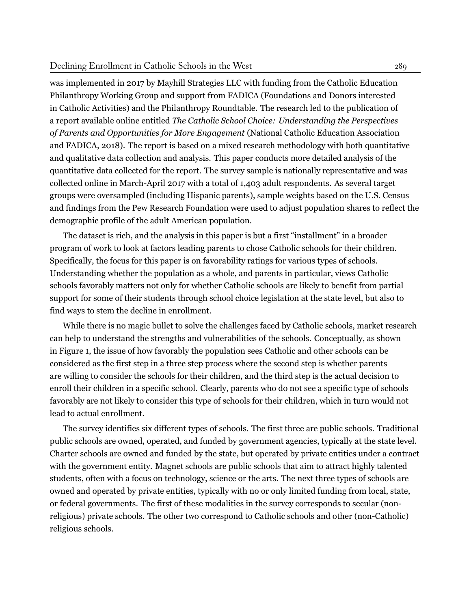was implemented in 2017 by Mayhill Strategies LLC with funding from the Catholic Education Philanthropy Working Group and support from FADICA (Foundations and Donors interested in Catholic Activities) and the Philanthropy Roundtable. The research led to the publication of a report available online entitled *The Catholic School Choice: Understanding the Perspectives of Parents and Opportunities for More Engagement* [\(National Catholic Education Association](#page-15-17) [and FADICA](#page-15-17), [2018\)](#page-15-17). The report is based on a mixed research methodology with both quantitative and qualitative data collection and analysis. This paper conducts more detailed analysis of the quantitative data collected for the report. The survey sample is nationally representative and was collected online in March-April 2017 with a total of 1,403 adult respondents. As several target groups were oversampled (including Hispanic parents), sample weights based on the U.S. Census and findings from the Pew Research Foundation were used to adjust population shares to reflect the demographic profile of the adult American population.

The dataset is rich, and the analysis in this paper is but a first "installment" in a broader program of work to look at factors leading parents to chose Catholic schools for their children. Specifically, the focus for this paper is on favorability ratings for various types of schools. Understanding whether the population as a whole, and parents in particular, views Catholic schools favorably matters not only for whether Catholic schools are likely to benefit from partial support for some of their students through school choice legislation at the state level, but also to find ways to stem the decline in enrollment.

While there is no magic bullet to solve the challenges faced by Catholic schools, market research can help to understand the strengths and vulnerabilities of the schools. Conceptually, as shown in Figure [1,](#page-6-0) the issue of how favorably the population sees Catholic and other schools can be considered as the first step in a three step process where the second step is whether parents are willing to consider the schools for their children, and the third step is the actual decision to enroll their children in a specific school. Clearly, parents who do not see a specific type of schools favorably are not likely to consider this type of schools for their children, which in turn would not lead to actual enrollment.

The survey identifies six different types of schools. The first three are public schools. Traditional public schools are owned, operated, and funded by government agencies, typically at the state level. Charter schools are owned and funded by the state, but operated by private entities under a contract with the government entity. Magnet schools are public schools that aim to attract highly talented students, often with a focus on technology, science or the arts. The next three types of schools are owned and operated by private entities, typically with no or only limited funding from local, state, or federal governments. The first of these modalities in the survey corresponds to secular (nonreligious) private schools. The other two correspond to Catholic schools and other (non-Catholic) religious schools.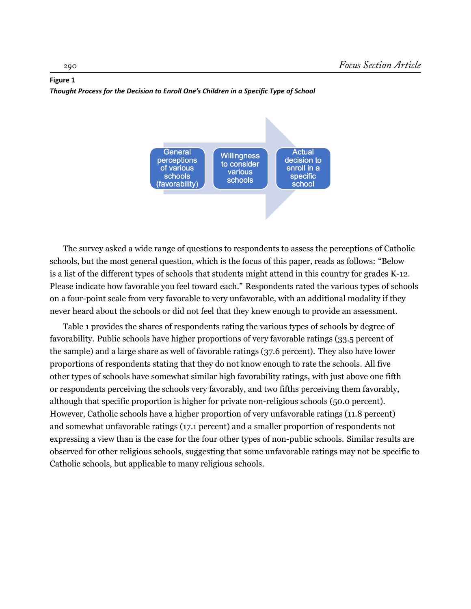### <span id="page-6-0"></span>**Figure 1** *Thought Process for the Decision to Enroll One's Children in a Specific Type of School*



The survey asked a wide range of questions to respondents to assess the perceptions of Catholic schools, but the most general question, which is the focus of this paper, reads as follows: "Below is a list of the different types of schools that students might attend in this country for grades K-12. Please indicate how favorable you feel toward each." Respondents rated the various types of schools on a four-point scale from very favorable to very unfavorable, with an additional modality if they never heard about the schools or did not feel that they knew enough to provide an assessment.

Table [1](#page-7-0) provides the shares of respondents rating the various types of schools by degree of favorability. Public schools have higher proportions of very favorable ratings (33.5 percent of the sample) and a large share as well of favorable ratings (37.6 percent). They also have lower proportions of respondents stating that they do not know enough to rate the schools. All five other types of schools have somewhat similar high favorability ratings, with just above one fifth or respondents perceiving the schools very favorably, and two fifths perceiving them favorably, although that specific proportion is higher for private non-religious schools (50.0 percent). However, Catholic schools have a higher proportion of very unfavorable ratings (11.8 percent) and somewhat unfavorable ratings (17.1 percent) and a smaller proportion of respondents not expressing a view than is the case for the four other types of non-public schools. Similar results are observed for other religious schools, suggesting that some unfavorable ratings may not be specific to Catholic schools, but applicable to many religious schools.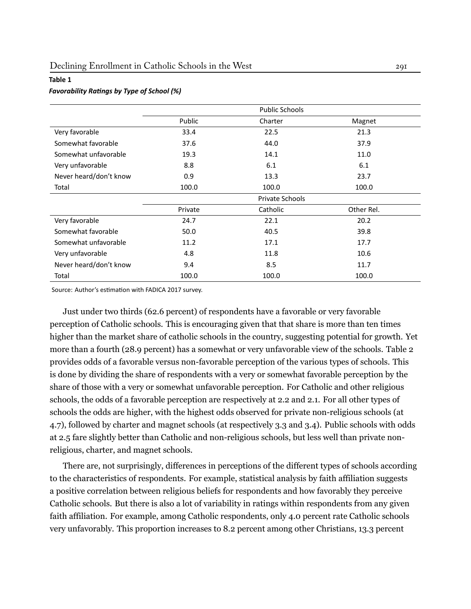#### <span id="page-7-0"></span>**Table 1**

#### *Favorability RaƟngs by Type of School (%)*

|                        |                 | <b>Public Schools</b> |            |  |  |
|------------------------|-----------------|-----------------------|------------|--|--|
|                        | Public          | Charter               | Magnet     |  |  |
| Very favorable         | 33.4            | 22.5                  | 21.3       |  |  |
| Somewhat favorable     | 37.6            | 44.0                  | 37.9       |  |  |
| Somewhat unfavorable   | 19.3            | 14.1                  | 11.0       |  |  |
| Very unfavorable       | 8.8             | 6.1                   | 6.1        |  |  |
| Never heard/don't know | 0.9             | 13.3                  | 23.7       |  |  |
| Total                  | 100.0           | 100.0                 | 100.0      |  |  |
|                        | Private Schools |                       |            |  |  |
|                        | Private         | Catholic              | Other Rel. |  |  |
| Very favorable         | 24.7            | 22.1                  | 20.2       |  |  |
| Somewhat favorable     | 50.0            | 40.5                  | 39.8       |  |  |
| Somewhat unfavorable   | 11.2            | 17.1                  | 17.7       |  |  |
| Very unfavorable       | 4.8             | 11.8                  | 10.6       |  |  |
| Never heard/don't know | 9.4             | 8.5                   | 11.7       |  |  |
| Total                  | 100.0           | 100.0                 | 100.0      |  |  |

Source: Author's estimation with FADICA 2017 survey.

Just under two thirds (62.6 percent) of respondents have a favorable or very favorable perception of Catholic schools. This is encouraging given that that share is more than ten times higher than the market share of catholic schools in the country, suggesting potential for growth. Yet more than a fourth (28.9 percent) has a somewhat or very unfavorable view of the schools. Table [2](#page-8-0) provides odds of a favorable versus non-favorable perception of the various types of schools. This is done by dividing the share of respondents with a very or somewhat favorable perception by the share of those with a very or somewhat unfavorable perception. For Catholic and other religious schools, the odds of a favorable perception are respectively at 2.2 and 2.1. For all other types of schools the odds are higher, with the highest odds observed for private non-religious schools (at 4.7), followed by charter and magnet schools (at respectively 3.3 and 3.4). Public schools with odds at 2.5 fare slightly better than Catholic and non-religious schools, but less well than private nonreligious, charter, and magnet schools.

There are, not surprisingly, differences in perceptions of the different types of schools according to the characteristics of respondents. For example, statistical analysis by faith affiliation suggests a positive correlation between religious beliefs for respondents and how favorably they perceive Catholic schools. But there is also a lot of variability in ratings within respondents from any given faith affiliation. For example, among Catholic respondents, only 4.0 percent rate Catholic schools very unfavorably. This proportion increases to 8.2 percent among other Christians, 13.3 percent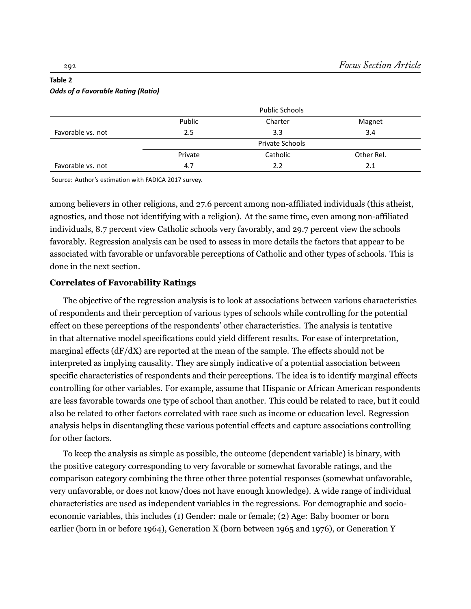## <span id="page-8-0"></span>**Table 2** *Odds of a Favorable RaƟng (RaƟo)*

|                   |                 | <b>Public Schools</b> |            |  |  |  |
|-------------------|-----------------|-----------------------|------------|--|--|--|
|                   | Public          | Charter               | Magnet     |  |  |  |
| Favorable vs. not | 2.5             | 3.3                   | 3.4        |  |  |  |
|                   | Private Schools |                       |            |  |  |  |
|                   | Private         | Catholic              | Other Rel. |  |  |  |
| Favorable vs. not | 4.7             | 2.2                   | 2.1        |  |  |  |

Source: Author's estimation with FADICA 2017 survey.

among believers in other religions, and 27.6 percent among non-affiliated individuals (this atheist, agnostics, and those not identifying with a religion). At the same time, even among non-affiliated individuals, 8.7 percent view Catholic schools very favorably, and 29.7 percent view the schools favorably. Regression analysis can be used to assess in more details the factors that appear to be associated with favorable or unfavorable perceptions of Catholic and other types of schools. This is done in the next section.

## **Correlates of Favorability Ratings**

The objective of the regression analysis is to look at associations between various characteristics of respondents and their perception of various types of schools while controlling for the potential effect on these perceptions of the respondents' other characteristics. The analysis is tentative in that alternative model specifications could yield different results. For ease of interpretation, marginal effects (dF/dX) are reported at the mean of the sample. The effects should not be interpreted as implying causality. They are simply indicative of a potential association between specific characteristics of respondents and their perceptions. The idea is to identify marginal effects controlling for other variables. For example, assume that Hispanic or African American respondents are less favorable towards one type of school than another. This could be related to race, but it could also be related to other factors correlated with race such as income or education level. Regression analysis helps in disentangling these various potential effects and capture associations controlling for other factors.

To keep the analysis as simple as possible, the outcome (dependent variable) is binary, with the positive category corresponding to very favorable or somewhat favorable ratings, and the comparison category combining the three other three potential responses (somewhat unfavorable, very unfavorable, or does not know/does not have enough knowledge). A wide range of individual characteristics are used as independent variables in the regressions. For demographic and socioeconomic variables, this includes (1) Gender: male or female; (2) Age: Baby boomer or born earlier (born in or before 1964), Generation X (born between 1965 and 1976), or Generation Y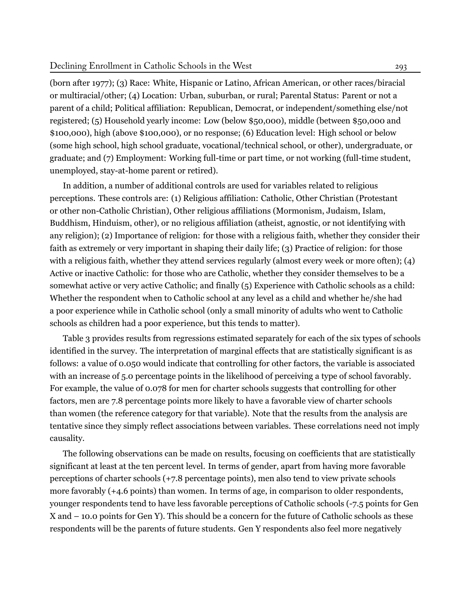(born after 1977); (3) Race: White, Hispanic or Latino, African American, or other races/biracial or multiracial/other; (4) Location: Urban, suburban, or rural; Parental Status: Parent or not a parent of a child; Political affiliation: Republican, Democrat, or independent/something else/not registered; (5) Household yearly income: Low (below \$50,000), middle (between \$50,000 and \$100,000), high (above \$100,000), or no response; (6) Education level: High school or below (some high school, high school graduate, vocational/technical school, or other), undergraduate, or graduate; and (7) Employment: Working full-time or part time, or not working (full-time student, unemployed, stay-at-home parent or retired).

In addition, a number of additional controls are used for variables related to religious perceptions. These controls are: (1) Religious affiliation: Catholic, Other Christian (Protestant or other non-Catholic Christian), Other religious affiliations (Mormonism, Judaism, Islam, Buddhism, Hinduism, other), or no religious affiliation (atheist, agnostic, or not identifying with any religion); (2) Importance of religion: for those with a religious faith, whether they consider their faith as extremely or very important in shaping their daily life; (3) Practice of religion: for those with a religious faith, whether they attend services regularly (almost every week or more often); (4) Active or inactive Catholic: for those who are Catholic, whether they consider themselves to be a somewhat active or very active Catholic; and finally (5) Experience with Catholic schools as a child: Whether the respondent when to Catholic school at any level as a child and whether he/she had a poor experience while in Catholic school (only a small minority of adults who went to Catholic schools as children had a poor experience, but this tends to matter).

Table [3](#page-10-0) provides results from regressions estimated separately for each of the six types of schools identified in the survey. The interpretation of marginal effects that are statistically significant is as follows: a value of 0.050 would indicate that controlling for other factors, the variable is associated with an increase of 5.0 percentage points in the likelihood of perceiving a type of school favorably. For example, the value of 0.078 for men for charter schools suggests that controlling for other factors, men are 7.8 percentage points more likely to have a favorable view of charter schools than women (the reference category for that variable). Note that the results from the analysis are tentative since they simply reflect associations between variables. These correlations need not imply causality.

The following observations can be made on results, focusing on coefficients that are statistically significant at least at the ten percent level. In terms of gender, apart from having more favorable perceptions of charter schools (+7.8 percentage points), men also tend to view private schools more favorably (+4.6 points) than women. In terms of age, in comparison to older respondents, younger respondents tend to have less favorable perceptions of Catholic schools (-7.5 points for Gen X and – 10.0 points for Gen Y). This should be a concern for the future of Catholic schools as these respondents will be the parents of future students. Gen Y respondents also feel more negatively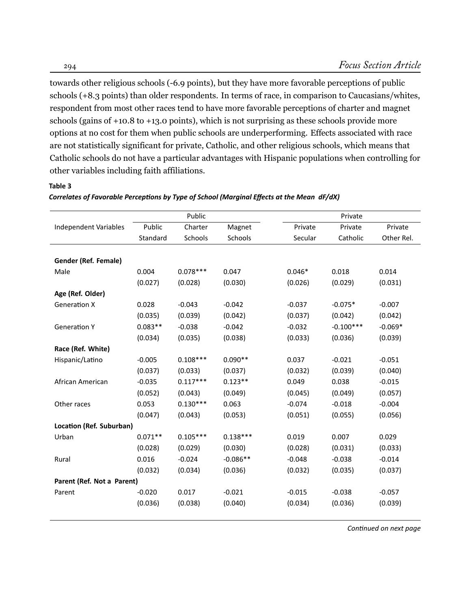towards other religious schools (-6.9 points), but they have more favorable perceptions of public schools (+8.3 points) than older respondents. In terms of race, in comparison to Caucasians/whites, respondent from most other races tend to have more favorable perceptions of charter and magnet schools (gains of +10.8 to +13.0 points), which is not surprising as these schools provide more options at no cost for them when public schools are underperforming. Effects associated with race are not statistically significant for private, Catholic, and other religious schools, which means that Catholic schools do not have a particular advantages with Hispanic populations when controlling for other variables including faith affiliations.

## <span id="page-10-0"></span>**Table 3**

|                              | Public    |            |            | Private  |             |            |  |
|------------------------------|-----------|------------|------------|----------|-------------|------------|--|
| <b>Independent Variables</b> | Public    | Charter    | Magnet     | Private  | Private     | Private    |  |
|                              | Standard  | Schools    | Schools    | Secular  | Catholic    | Other Rel. |  |
|                              |           |            |            |          |             |            |  |
| Gender (Ref. Female)         |           |            |            |          |             |            |  |
| Male                         | 0.004     | $0.078***$ | 0.047      | $0.046*$ | 0.018       | 0.014      |  |
|                              | (0.027)   | (0.028)    | (0.030)    | (0.026)  | (0.029)     | (0.031)    |  |
| Age (Ref. Older)             |           |            |            |          |             |            |  |
| <b>Generation X</b>          | 0.028     | $-0.043$   | $-0.042$   | $-0.037$ | $-0.075*$   | $-0.007$   |  |
|                              | (0.035)   | (0.039)    | (0.042)    | (0.037)  | (0.042)     | (0.042)    |  |
| <b>Generation Y</b>          | $0.083**$ | $-0.038$   | $-0.042$   | $-0.032$ | $-0.100***$ | $-0.069*$  |  |
|                              | (0.034)   | (0.035)    | (0.038)    | (0.033)  | (0.036)     | (0.039)    |  |
| Race (Ref. White)            |           |            |            |          |             |            |  |
| Hispanic/Latino              | $-0.005$  | $0.108***$ | $0.090**$  | 0.037    | $-0.021$    | $-0.051$   |  |
|                              | (0.037)   | (0.033)    | (0.037)    | (0.032)  | (0.039)     | (0.040)    |  |
| African American             | $-0.035$  | $0.117***$ | $0.123**$  | 0.049    | 0.038       | $-0.015$   |  |
|                              | (0.052)   | (0.043)    | (0.049)    | (0.045)  | (0.049)     | (0.057)    |  |
| Other races                  | 0.053     | $0.130***$ | 0.063      | $-0.074$ | $-0.018$    | $-0.004$   |  |
|                              | (0.047)   | (0.043)    | (0.053)    | (0.051)  | (0.055)     | (0.056)    |  |
| Location (Ref. Suburban)     |           |            |            |          |             |            |  |
| Urban                        | $0.071**$ | $0.105***$ | $0.138***$ | 0.019    | 0.007       | 0.029      |  |
|                              | (0.028)   | (0.029)    | (0.030)    | (0.028)  | (0.031)     | (0.033)    |  |
| Rural                        | 0.016     | $-0.024$   | $-0.086**$ | $-0.048$ | $-0.038$    | $-0.014$   |  |
|                              | (0.032)   | (0.034)    | (0.036)    | (0.032)  | (0.035)     | (0.037)    |  |
| Parent (Ref. Not a Parent)   |           |            |            |          |             |            |  |
| Parent                       | $-0.020$  | 0.017      | $-0.021$   | $-0.015$ | $-0.038$    | $-0.057$   |  |
|                              | (0.036)   | (0.038)    | (0.040)    | (0.034)  | (0.036)     | (0.039)    |  |
|                              |           |            |            |          |             |            |  |

## Correlates of Favorable Perceptions by Type of School (Marginal Effects at the Mean dF/dX)

*ConƟnued on next page*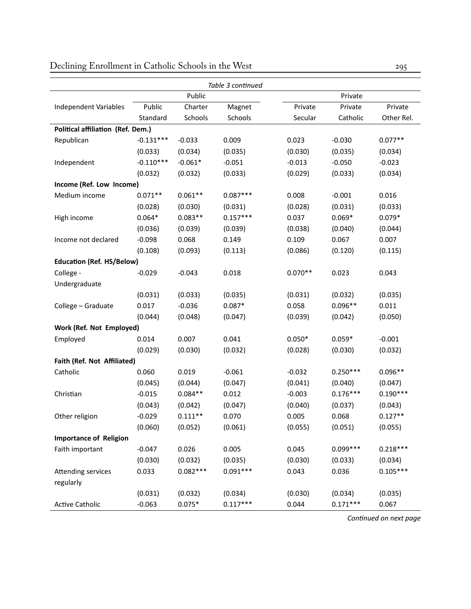|                                   |             |            | Table 3 continued |           |            |            |  |
|-----------------------------------|-------------|------------|-------------------|-----------|------------|------------|--|
|                                   | Public      |            |                   |           | Private    |            |  |
| Independent Variables             | Public      | Charter    | Magnet            | Private   | Private    | Private    |  |
|                                   | Standard    | Schools    | Schools           | Secular   | Catholic   | Other Rel. |  |
| Political affiliation (Ref. Dem.) |             |            |                   |           |            |            |  |
| Republican                        | $-0.131***$ | $-0.033$   | 0.009             | 0.023     | $-0.030$   | $0.077**$  |  |
|                                   | (0.033)     | (0.034)    | (0.035)           | (0.030)   | (0.035)    | (0.034)    |  |
| Independent                       | $-0.110***$ | $-0.061*$  | $-0.051$          | $-0.013$  | $-0.050$   | $-0.023$   |  |
|                                   | (0.032)     | (0.032)    | (0.033)           | (0.029)   | (0.033)    | (0.034)    |  |
| Income (Ref. Low Income)          |             |            |                   |           |            |            |  |
| Medium income                     | $0.071**$   | $0.061**$  | $0.087***$        | 0.008     | $-0.001$   | 0.016      |  |
|                                   | (0.028)     | (0.030)    | (0.031)           | (0.028)   | (0.031)    | (0.033)    |  |
| High income                       | $0.064*$    | $0.083**$  | $0.157***$        | 0.037     | $0.069*$   | $0.079*$   |  |
|                                   | (0.036)     | (0.039)    | (0.039)           | (0.038)   | (0.040)    | (0.044)    |  |
| Income not declared               | $-0.098$    | 0.068      | 0.149             | 0.109     | 0.067      | 0.007      |  |
|                                   | (0.108)     | (0.093)    | (0.113)           | (0.086)   | (0.120)    | (0.115)    |  |
| <b>Education (Ref. HS/Below)</b>  |             |            |                   |           |            |            |  |
| College -                         | $-0.029$    | $-0.043$   | 0.018             | $0.070**$ | 0.023      | 0.043      |  |
| Undergraduate                     |             |            |                   |           |            |            |  |
|                                   | (0.031)     | (0.033)    | (0.035)           | (0.031)   | (0.032)    | (0.035)    |  |
| College - Graduate                | 0.017       | $-0.036$   | $0.087*$          | 0.058     | $0.096**$  | 0.011      |  |
|                                   | (0.044)     | (0.048)    | (0.047)           | (0.039)   | (0.042)    | (0.050)    |  |
| Work (Ref. Not Employed)          |             |            |                   |           |            |            |  |
| Employed                          | 0.014       | 0.007      | 0.041             | $0.050*$  | $0.059*$   | $-0.001$   |  |
|                                   | (0.029)     | (0.030)    | (0.032)           | (0.028)   | (0.030)    | (0.032)    |  |
| Faith (Ref. Not Affiliated)       |             |            |                   |           |            |            |  |
| Catholic                          | 0.060       | 0.019      | $-0.061$          | $-0.032$  | $0.250***$ | $0.096**$  |  |
|                                   | (0.045)     | (0.044)    | (0.047)           | (0.041)   | (0.040)    | (0.047)    |  |
| Christian                         | $-0.015$    | $0.084**$  | 0.012             | $-0.003$  | $0.176***$ | $0.190***$ |  |
|                                   | (0.043)     | (0.042)    | (0.047)           | (0.040)   | (0.037)    | (0.043)    |  |
| Other religion                    | $-0.029$    | $0.111**$  | 0.070             | 0.005     | 0.068      | $0.127**$  |  |
|                                   | (0.060)     | (0.052)    | (0.061)           | (0.055)   | (0.051)    | (0.055)    |  |
| <b>Importance of Religion</b>     |             |            |                   |           |            |            |  |
| Faith important                   | $-0.047$    | 0.026      | 0.005             | 0.045     | $0.099***$ | $0.218***$ |  |
|                                   | (0.030)     | (0.032)    | (0.035)           | (0.030)   | (0.033)    | (0.034)    |  |
| Attending services                | 0.033       | $0.082***$ | $0.091***$        | 0.043     | 0.036      | $0.105***$ |  |
| regularly                         |             |            |                   |           |            |            |  |
|                                   | (0.031)     | (0.032)    | (0.034)           | (0.030)   | (0.034)    | (0.035)    |  |
| <b>Active Catholic</b>            | $-0.063$    | $0.075*$   | $0.117***$        | 0.044     | $0.171***$ | 0.067      |  |

*ConƟnued on next page*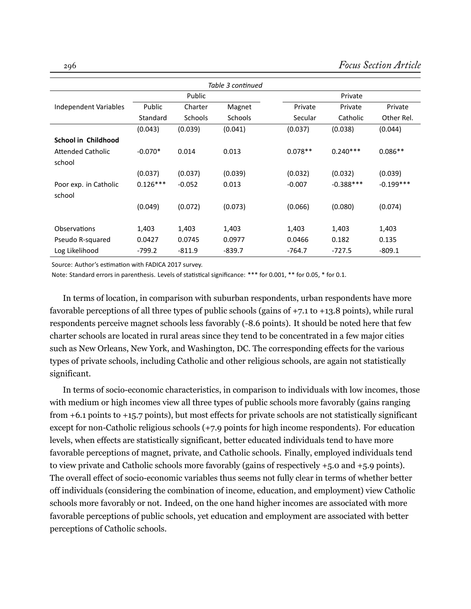| Table 3 continued        |            |          |                |           |             |             |  |
|--------------------------|------------|----------|----------------|-----------|-------------|-------------|--|
|                          | Public     |          |                | Private   |             |             |  |
| Independent Variables    | Public     | Charter  | Magnet         | Private   | Private     | Private     |  |
|                          | Standard   | Schools  | <b>Schools</b> | Secular   | Catholic    | Other Rel.  |  |
|                          | (0.043)    | (0.039)  | (0.041)        | (0.037)   | (0.038)     | (0.044)     |  |
| School in Childhood      |            |          |                |           |             |             |  |
| <b>Attended Catholic</b> | $-0.070*$  | 0.014    | 0.013          | $0.078**$ | $0.240***$  | $0.086**$   |  |
| school                   |            |          |                |           |             |             |  |
|                          | (0.037)    | (0.037)  | (0.039)        | (0.032)   | (0.032)     | (0.039)     |  |
| Poor exp. in Catholic    | $0.126***$ | $-0.052$ | 0.013          | $-0.007$  | $-0.388***$ | $-0.199***$ |  |
| school                   |            |          |                |           |             |             |  |
|                          | (0.049)    | (0.072)  | (0.073)        | (0.066)   | (0.080)     | (0.074)     |  |
|                          |            |          |                |           |             |             |  |
| Observations             | 1,403      | 1,403    | 1,403          | 1,403     | 1,403       | 1,403       |  |
| Pseudo R-squared         | 0.0427     | 0.0745   | 0.0977         | 0.0466    | 0.182       | 0.135       |  |
| Log Likelihood           | $-799.2$   | $-811.9$ | $-839.7$       | $-764.7$  | $-727.5$    | $-809.1$    |  |

Source: Author's estimation with FADICA 2017 survey.

Note: Standard errors in parenthesis. Levels of statistical significance: \*\*\* for 0.001, \*\* for 0.05, \* for 0.1.

In terms of location, in comparison with suburban respondents, urban respondents have more favorable perceptions of all three types of public schools (gains of +7.1 to +13.8 points), while rural respondents perceive magnet schools less favorably (-8.6 points). It should be noted here that few charter schools are located in rural areas since they tend to be concentrated in a few major cities such as New Orleans, New York, and Washington, DC. The corresponding effects for the various types of private schools, including Catholic and other religious schools, are again not statistically significant.

In terms of socio-economic characteristics, in comparison to individuals with low incomes, those with medium or high incomes view all three types of public schools more favorably (gains ranging from +6.1 points to +15.7 points), but most effects for private schools are not statistically significant except for non-Catholic religious schools (+7.9 points for high income respondents). For education levels, when effects are statistically significant, better educated individuals tend to have more favorable perceptions of magnet, private, and Catholic schools. Finally, employed individuals tend to view private and Catholic schools more favorably (gains of respectively +5.0 and +5.9 points). The overall effect of socio-economic variables thus seems not fully clear in terms of whether better off individuals (considering the combination of income, education, and employment) view Catholic schools more favorably or not. Indeed, on the one hand higher incomes are associated with more favorable perceptions of public schools, yet education and employment are associated with better perceptions of Catholic schools.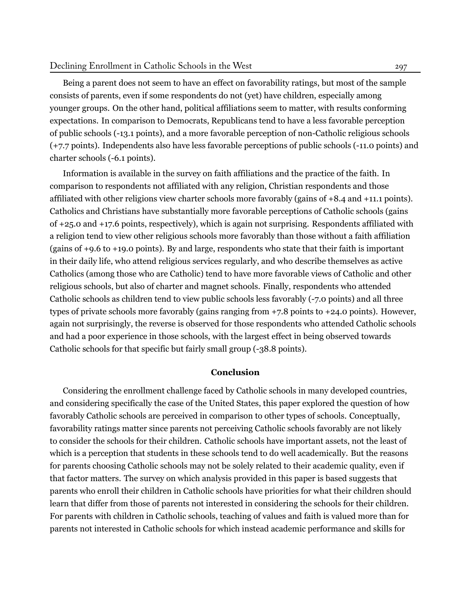Being a parent does not seem to have an effect on favorability ratings, but most of the sample consists of parents, even if some respondents do not (yet) have children, especially among younger groups. On the other hand, political affiliations seem to matter, with results conforming expectations. In comparison to Democrats, Republicans tend to have a less favorable perception of public schools (-13.1 points), and a more favorable perception of non-Catholic religious schools (+7.7 points). Independents also have less favorable perceptions of public schools (-11.0 points) and charter schools (-6.1 points).

Information is available in the survey on faith affiliations and the practice of the faith. In comparison to respondents not affiliated with any religion, Christian respondents and those affiliated with other religions view charter schools more favorably (gains of +8.4 and +11.1 points). Catholics and Christians have substantially more favorable perceptions of Catholic schools (gains of +25.0 and +17.6 points, respectively), which is again not surprising. Respondents affiliated with a religion tend to view other religious schools more favorably than those without a faith affiliation (gains of +9.6 to +19.0 points). By and large, respondents who state that their faith is important in their daily life, who attend religious services regularly, and who describe themselves as active Catholics (among those who are Catholic) tend to have more favorable views of Catholic and other religious schools, but also of charter and magnet schools. Finally, respondents who attended Catholic schools as children tend to view public schools less favorably (-7.0 points) and all three types of private schools more favorably (gains ranging from +7.8 points to +24.0 points). However, again not surprisingly, the reverse is observed for those respondents who attended Catholic schools and had a poor experience in those schools, with the largest effect in being observed towards Catholic schools for that specific but fairly small group (-38.8 points).

## **Conclusion**

Considering the enrollment challenge faced by Catholic schools in many developed countries, and considering specifically the case of the United States, this paper explored the question of how favorably Catholic schools are perceived in comparison to other types of schools. Conceptually, favorability ratings matter since parents not perceiving Catholic schools favorably are not likely to consider the schools for their children. Catholic schools have important assets, not the least of which is a perception that students in these schools tend to do well academically. But the reasons for parents choosing Catholic schools may not be solely related to their academic quality, even if that factor matters. The survey on which analysis provided in this paper is based suggests that parents who enroll their children in Catholic schools have priorities for what their children should learn that differ from those of parents not interested in considering the schools for their children. For parents with children in Catholic schools, teaching of values and faith is valued more than for parents not interested in Catholic schools for which instead academic performance and skills for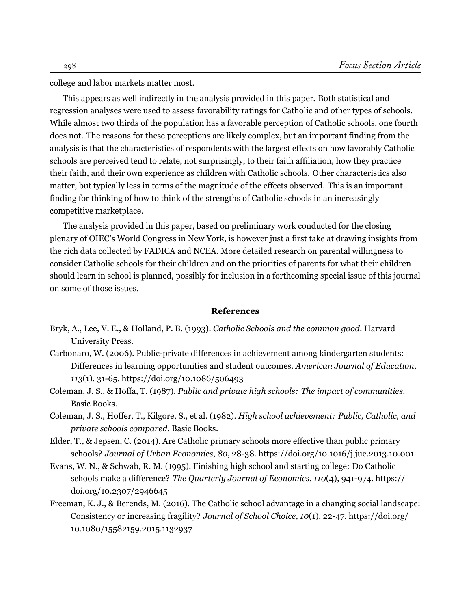college and labor markets matter most.

This appears as well indirectly in the analysis provided in this paper. Both statistical and regression analyses were used to assess favorability ratings for Catholic and other types of schools. While almost two thirds of the population has a favorable perception of Catholic schools, one fourth does not. The reasons for these perceptions are likely complex, but an important finding from the analysis is that the characteristics of respondents with the largest effects on how favorably Catholic schools are perceived tend to relate, not surprisingly, to their faith affiliation, how they practice their faith, and their own experience as children with Catholic schools. Other characteristics also matter, but typically less in terms of the magnitude of the effects observed. This is an important finding for thinking of how to think of the strengths of Catholic schools in an increasingly competitive marketplace.

The analysis provided in this paper, based on preliminary work conducted for the closing plenary of OIEC's World Congress in New York, is however just a first take at drawing insights from the rich data collected by FADICA and NCEA. More detailed research on parental willingness to consider Catholic schools for their children and on the priorities of parents for what their children should learn in school is planned, possibly for inclusion in a forthcoming special issue of this journal on some of those issues.

#### **References**

- <span id="page-14-2"></span>Bryk, A., Lee, V. E., & Holland, P. B. (1993). *Catholic Schools and the common good*. Harvard University Press.
- <span id="page-14-3"></span>Carbonaro, W. (2006). Public-private differences in achievement among kindergarten students: Differences in learning opportunities and student outcomes. *American Journal of Education*, *113*(1), 31-65. https://doi.org/10.1086/506493
- <span id="page-14-1"></span>Coleman, J. S., & Hoffa, T. (1987). *Public and private high schools: The impact of communities*. Basic Books.
- <span id="page-14-0"></span>Coleman, J. S., Hoffer, T., Kilgore, S., et al. (1982). *High school achievement: Public, Catholic, and private schools compared*. Basic Books.
- <span id="page-14-6"></span>Elder, T., & Jepsen, C. (2014). Are Catholic primary schools more effective than public primary schools? *Journal of Urban Economics*, *80*, 28-38. https://doi.org/10.1016/j.jue.2013.10.001
- <span id="page-14-4"></span>Evans, W. N., & Schwab, R. M. (1995). Finishing high school and starting college: Do Catholic schools make a difference? *The Quarterly Journal of Economics*, *110*(4), 941-974. https:// doi.org/10.2307/2946645
- <span id="page-14-5"></span>Freeman, K. J., & Berends, M. (2016). The Catholic school advantage in a changing social landscape: Consistency or increasing fragility? *Journal of School Choice*, *10*(1), 22-47. https://doi.org/ 10.1080/15582159.2015.1132937